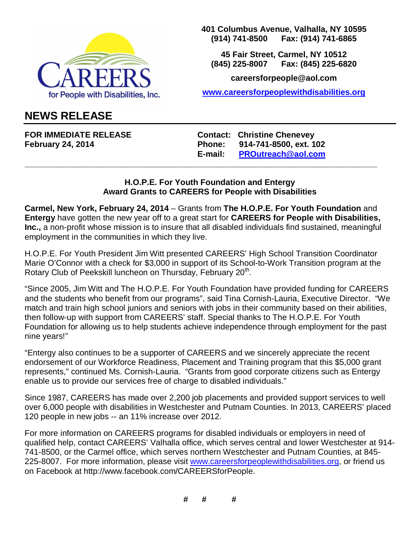

**401 Columbus Avenue, Valhalla, NY 10595 (914) 741-8500 Fax: (914) 741-6865** 

**45 Fair Street, Carmel, NY 10512 (845) 225-8007 Fax: (845) 225-6820** 

**careersforpeople@aol.com** 

**www.careersforpeoplewithdisabilities.org**

## **NEWS RELEASE**

FOR IMMEDIATE RELEASE **Contact: Christine Chenevey February 24, 2014 Phone: 914-741-8500, ext. 102 E-mail: PROutreach@aol.com**

## **H.O.P.E. For Youth Foundation and Entergy Award Grants to CAREERS for People with Disabilities**

**\_\_\_\_\_\_\_\_\_\_\_\_\_\_\_\_\_\_\_\_\_\_\_\_\_\_\_\_\_\_\_\_\_\_\_\_\_\_\_\_\_\_\_\_\_\_\_\_\_\_\_\_\_\_\_\_\_\_\_\_\_\_\_\_\_\_\_\_\_\_\_\_\_\_\_\_\_** 

**Carmel, New York, February 24, 2014** – Grants from **The H.O.P.E. For Youth Foundation** and **Entergy** have gotten the new year off to a great start for **CAREERS for People with Disabilities, Inc.,** a non-profit whose mission is to insure that all disabled individuals find sustained, meaningful employment in the communities in which they live.

H.O.P.E. For Youth President Jim Witt presented CAREERS' High School Transition Coordinator Marie O'Connor with a check for \$3,000 in support of its School-to-Work Transition program at the Rotary Club of Peekskill luncheon on Thursday, February 20<sup>th</sup>.

"Since 2005, Jim Witt and The H.O.P.E. For Youth Foundation have provided funding for CAREERS and the students who benefit from our programs", said Tina Cornish-Lauria, Executive Director. "We match and train high school juniors and seniors with jobs in their community based on their abilities, then follow-up with support from CAREERS' staff. Special thanks to The H.O.P.E. For Youth Foundation for allowing us to help students achieve independence through employment for the past nine years!"

"Entergy also continues to be a supporter of CAREERS and we sincerely appreciate the recent endorsement of our Workforce Readiness, Placement and Training program that this \$5,000 grant represents," continued Ms. Cornish-Lauria. "Grants from good corporate citizens such as Entergy enable us to provide our services free of charge to disabled individuals."

Since 1987, CAREERS has made over 2,200 job placements and provided support services to well over 6,000 people with disabilities in Westchester and Putnam Counties. In 2013, CAREERS' placed 120 people in new jobs -- an 11% increase over 2012.

For more information on CAREERS programs for disabled individuals or employers in need of qualified help, contact CAREERS' Valhalla office, which serves central and lower Westchester at 914- 741-8500, or the Carmel office, which serves northern Westchester and Putnam Counties, at 845- 225-8007. For more information, please visit www.careersforpeoplewithdisabilities.org, or friend us on Facebook at http://www.facebook.com/CAREERSforPeople.